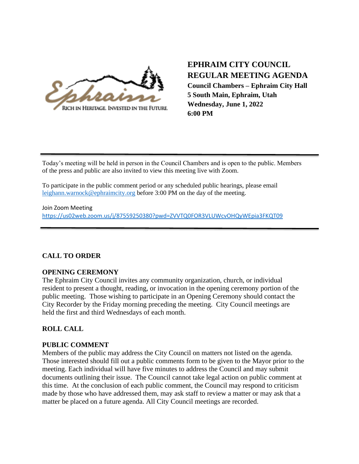

# **EPHRAIM CITY COUNCIL REGULAR MEETING AGENDA Council Chambers – Ephraim City Hall 5 South Main, Ephraim, Utah**

**Wednesday, June 1, 2022 6:00 PM**

Today's meeting will be held in person in the Council Chambers and is open to the public. Members of the press and public are also invited to view this meeting live with Zoom.

To participate in the public comment period or any scheduled public hearings, please email [leighann.warnock@ephraimcity.org](mailto:leighann.warnock@ephraimcity.org) before 3:00 PM on the day of the meeting.

Join Zoom Meeting <https://us02web.zoom.us/j/87559250380?pwd=ZVVTQ0FOR3VLUWcvOHQyWEpia3FKQT09>

# **CALL TO ORDER**

## **OPENING CEREMONY**

The Ephraim City Council invites any community organization, church, or individual resident to present a thought, reading, or invocation in the opening ceremony portion of the public meeting. Those wishing to participate in an Opening Ceremony should contact the City Recorder by the Friday morning preceding the meeting. City Council meetings are held the first and third Wednesdays of each month.

# **ROLL CALL**

# **PUBLIC COMMENT**

Members of the public may address the City Council on matters not listed on the agenda. Those interested should fill out a public comments form to be given to the Mayor prior to the meeting. Each individual will have five minutes to address the Council and may submit documents outlining their issue. The Council cannot take legal action on public comment at this time. At the conclusion of each public comment, the Council may respond to criticism made by those who have addressed them, may ask staff to review a matter or may ask that a matter be placed on a future agenda. All City Council meetings are recorded.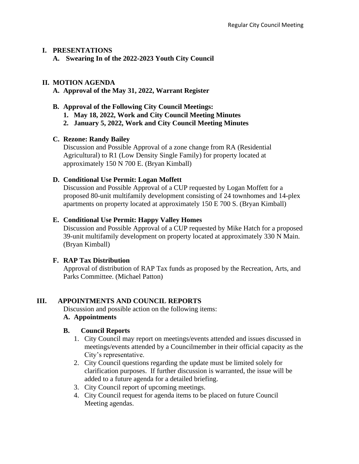#### **I. PRESENTATIONS**

**A. Swearing In of the 2022-2023 Youth City Council**

## **II. MOTION AGENDA**

## **A. Approval of the May 31, 2022, Warrant Register**

- **B. Approval of the Following City Council Meetings:**
	- **1. May 18, 2022, Work and City Council Meeting Minutes**
	- **2. January 5, 2022, Work and City Council Meeting Minutes**

## **C. Rezone: Randy Bailey**

Discussion and Possible Approval of a zone change from RA (Residential Agricultural) to R1 (Low Density Single Family) for property located at approximately 150 N 700 E. (Bryan Kimball)

## **D. Conditional Use Permit: Logan Moffett**

Discussion and Possible Approval of a CUP requested by Logan Moffett for a proposed 80-unit multifamily development consisting of 24 townhomes and 14-plex apartments on property located at approximately 150 E 700 S. (Bryan Kimball)

## **E. Conditional Use Permit: Happy Valley Homes**

Discussion and Possible Approval of a CUP requested by Mike Hatch for a proposed 39-unit multifamily development on property located at approximately 330 N Main. (Bryan Kimball)

## **F. RAP Tax Distribution**

Approval of distribution of RAP Tax funds as proposed by the Recreation, Arts, and Parks Committee. (Michael Patton)

## **III. APPOINTMENTS AND COUNCIL REPORTS**

 Discussion and possible action on the following items: **A. Appointments**

## **B. Council Reports**

- 1. City Council may report on meetings/events attended and issues discussed in meetings/events attended by a Councilmember in their official capacity as the City's representative.
- 2. City Council questions regarding the update must be limited solely for clarification purposes. If further discussion is warranted, the issue will be added to a future agenda for a detailed briefing.
- 3. City Council report of upcoming meetings.
- 4. City Council request for agenda items to be placed on future Council Meeting agendas.